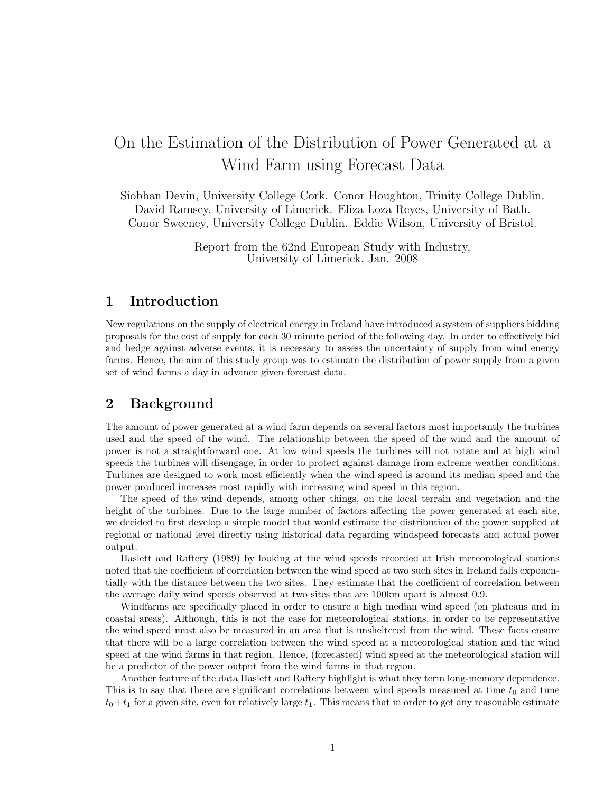# On the Estimation of the Distribution of Power Generated at a Wind Farm using Forecast Data

Siobhan Devin, University College Cork. Conor Houghton, Trinity College Dublin. David Ramsey, University of Limerick. Eliza Loza Reyes, University of Bath. Conor Sweeney, University College Dublin. Eddie Wilson, University of Bristol.

> Report from the 62nd European Study with Industry, University of Limerick, Jan. 2008

# 1 Introduction

New regulations on the supply of electrical energy in Ireland have introduced a system of suppliers bidding proposals for the cost of supply for each 30 minute period of the following day. In order to effectively bid and hedge against adverse events, it is necessary to assess the uncertainty of supply from wind energy farms. Hence, the aim of this study group was to estimate the distribution of power supply from a given set of wind farms a day in advance given forecast data.

# 2 Background

The amount of power generated at a wind farm depends on several factors most importantly the turbines used and the speed of the wind. The relationship between the speed of the wind and the amount of power is not a straightforward one. At low wind speeds the turbines will not rotate and at high wind speeds the turbines will disengage, in order to protect against damage from extreme weather conditions. Turbines are designed to work most efficiently when the wind speed is around its median speed and the power produced increases most rapidly with increasing wind speed in this region.

The speed of the wind depends, among other things, on the local terrain and vegetation and the height of the turbines. Due to the large number of factors affecting the power generated at each site, we decided to first develop a simple model that would estimate the distribution of the power supplied at regional or national level directly using historical data regarding windspeed forecasts and actual power output.

Haslett and Raftery (1989) by looking at the wind speeds recorded at Irish meteorological stations noted that the coefficient of correlation between the wind speed at two such sites in Ireland falls exponentially with the distance between the two sites. They estimate that the coefficient of correlation between the average daily wind speeds observed at two sites that are 100km apart is almost 0.9.

Windfarms are specifically placed in order to ensure a high median wind speed (on plateaus and in coastal areas). Although, this is not the case for meteorological stations, in order to be representative the wind speed must also be measured in an area that is unsheltered from the wind. These facts ensure that there will be a large correlation between the wind speed at a meteorological station and the wind speed at the wind farms in that region. Hence, (forecasted) wind speed at the meteorological station will be a predictor of the power output from the wind farms in that region.

Another feature of the data Haslett and Raftery highlight is what they term long-memory dependence. This is to say that there are significant correlations between wind speeds measured at time  $t_0$  and time  $t_0+t_1$  for a given site, even for relatively large  $t_1$ . This means that in order to get any reasonable estimate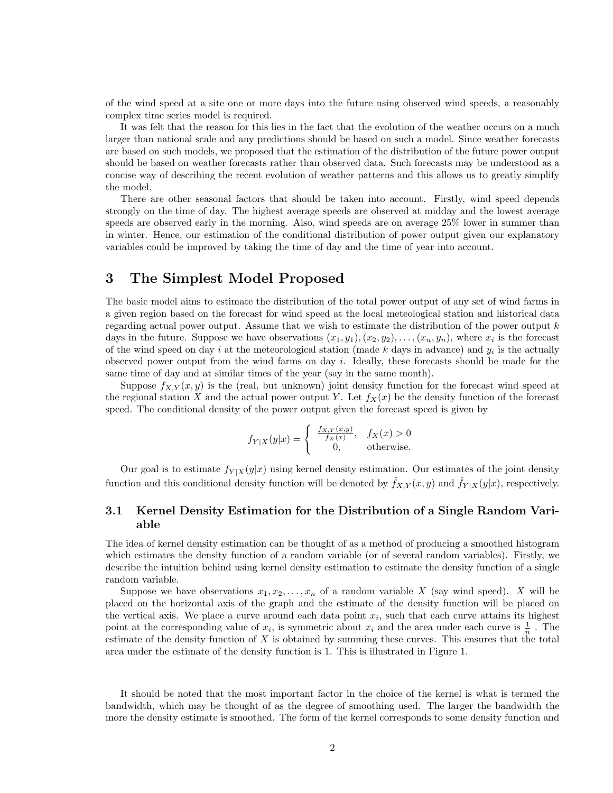of the wind speed at a site one or more days into the future using observed wind speeds, a reasonably complex time series model is required.

It was felt that the reason for this lies in the fact that the evolution of the weather occurs on a much larger than national scale and any predictions should be based on such a model. Since weather forecasts are based on such models, we proposed that the estimation of the distribution of the future power output should be based on weather forecasts rather than observed data. Such forecasts may be understood as a concise way of describing the recent evolution of weather patterns and this allows us to greatly simplify the model.

There are other seasonal factors that should be taken into account. Firstly, wind speed depends strongly on the time of day. The highest average speeds are observed at midday and the lowest average speeds are observed early in the morning. Also, wind speeds are on average 25% lower in summer than in winter. Hence, our estimation of the conditional distribution of power output given our explanatory variables could be improved by taking the time of day and the time of year into account.

# 3 The Simplest Model Proposed

The basic model aims to estimate the distribution of the total power output of any set of wind farms in a given region based on the forecast for wind speed at the local meteological station and historical data regarding actual power output. Assume that we wish to estimate the distribution of the power output  $k$ days in the future. Suppose we have observations  $(x_1, y_1), (x_2, y_2), \ldots, (x_n, y_n)$ , where  $x_i$  is the forecast of the wind speed on day i at the meteorological station (made k days in advance) and  $y_i$  is the actually observed power output from the wind farms on day i. Ideally, these forecasts should be made for the same time of day and at similar times of the year (say in the same month).

Suppose  $f_{X,Y}(x, y)$  is the (real, but unknown) joint density function for the forecast wind speed at the regional station X and the actual power output Y. Let  $f_X(x)$  be the density function of the forecast speed. The conditional density of the power output given the forecast speed is given by

$$
f_{Y|X}(y|x) = \begin{cases} \frac{f_{X,Y}(x,y)}{f_X(x)}, & f_X(x) > 0\\ 0, & \text{otherwise.} \end{cases}
$$

Our goal is to estimate  $f_{Y|X}(y|x)$  using kernel density estimation. Our estimates of the joint density function and this conditional density function will be denoted by  $f_{X,Y}(x, y)$  and  $f_{Y|X}(y|x)$ , respectively.

### 3.1 Kernel Density Estimation for the Distribution of a Single Random Variable

The idea of kernel density estimation can be thought of as a method of producing a smoothed histogram which estimates the density function of a random variable (or of several random variables). Firstly, we describe the intuition behind using kernel density estimation to estimate the density function of a single random variable.

Suppose we have observations  $x_1, x_2, \ldots, x_n$  of a random variable X (say wind speed). X will be placed on the horizontal axis of the graph and the estimate of the density function will be placed on the vertical axis. We place a curve around each data point  $x_i$ , such that each curve attains its highest point at the corresponding value of  $x_i$ , is symmetric about  $x_i$  and the area under each curve is  $\frac{1}{n}$ . The estimate of the density function of  $X$  is obtained by summing these curves. This ensures that the total area under the estimate of the density function is 1. This is illustrated in Figure 1.

It should be noted that the most important factor in the choice of the kernel is what is termed the bandwidth, which may be thought of as the degree of smoothing used. The larger the bandwidth the more the density estimate is smoothed. The form of the kernel corresponds to some density function and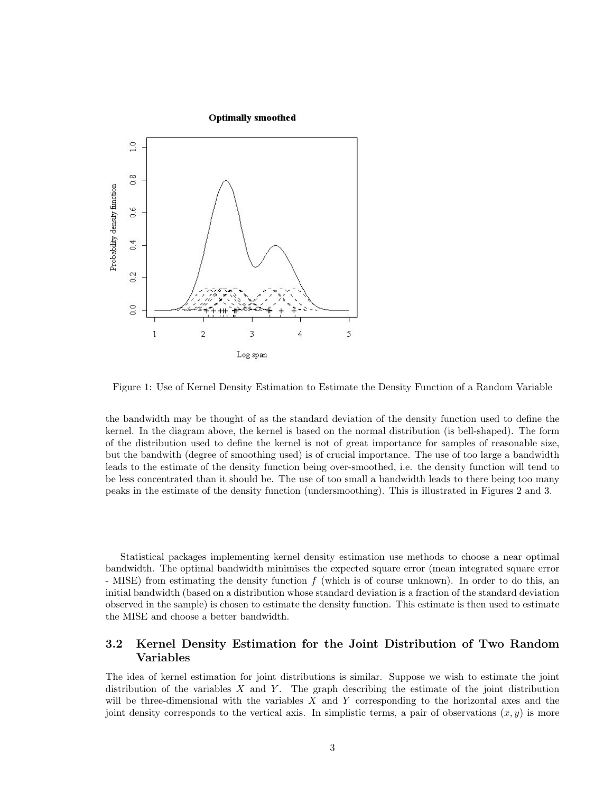

Figure 1: Use of Kernel Density Estimation to Estimate the Density Function of a Random Variable

the bandwidth may be thought of as the standard deviation of the density function used to define the kernel. In the diagram above, the kernel is based on the normal distribution (is bell-shaped). The form of the distribution used to define the kernel is not of great importance for samples of reasonable size, but the bandwith (degree of smoothing used) is of crucial importance. The use of too large a bandwidth leads to the estimate of the density function being over-smoothed, i.e. the density function will tend to be less concentrated than it should be. The use of too small a bandwidth leads to there being too many peaks in the estimate of the density function (undersmoothing). This is illustrated in Figures 2 and 3.

Statistical packages implementing kernel density estimation use methods to choose a near optimal bandwidth. The optimal bandwidth minimises the expected square error (mean integrated square error - MISE) from estimating the density function f (which is of course unknown). In order to do this, an initial bandwidth (based on a distribution whose standard deviation is a fraction of the standard deviation observed in the sample) is chosen to estimate the density function. This estimate is then used to estimate the MISE and choose a better bandwidth.

## 3.2 Kernel Density Estimation for the Joint Distribution of Two Random Variables

The idea of kernel estimation for joint distributions is similar. Suppose we wish to estimate the joint distribution of the variables  $X$  and  $Y$ . The graph describing the estimate of the joint distribution will be three-dimensional with the variables  $X$  and  $Y$  corresponding to the horizontal axes and the joint density corresponds to the vertical axis. In simplistic terms, a pair of observations  $(x, y)$  is more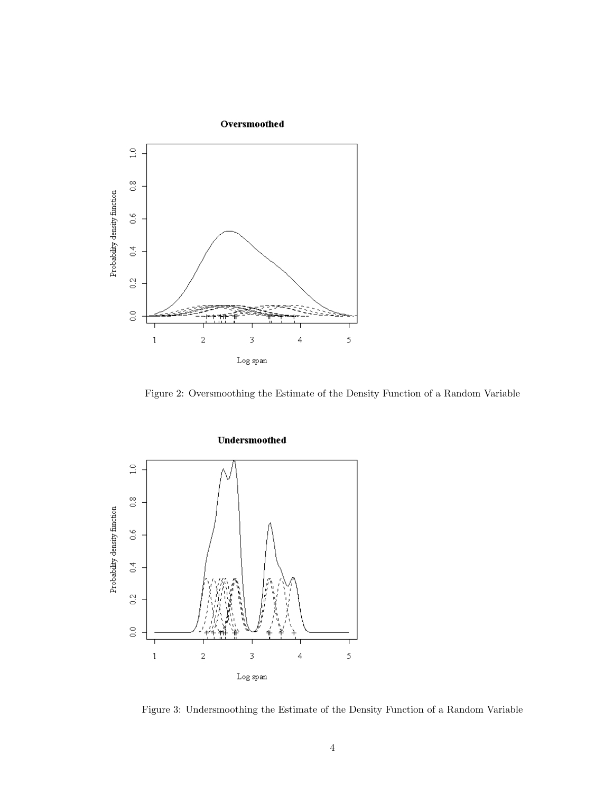

Figure 2: Oversmoothing the Estimate of the Density Function of a Random Variable



Figure 3: Undersmoothing the Estimate of the Density Function of a Random Variable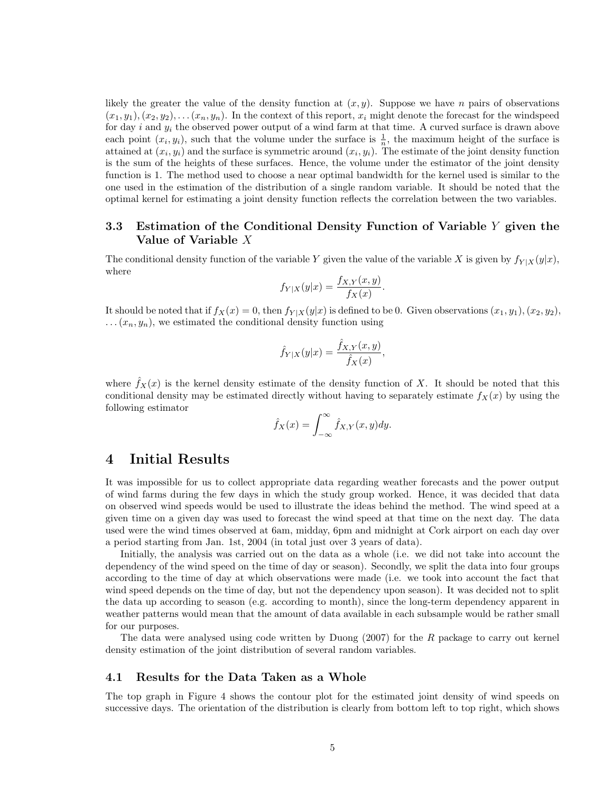likely the greater the value of the density function at  $(x, y)$ . Suppose we have n pairs of observations  $(x_1, y_1), (x_2, y_2), \ldots (x_n, y_n)$ . In the context of this report,  $x_i$  might denote the forecast for the windspeed for day i and  $y_i$  the observed power output of a wind farm at that time. A curved surface is drawn above each point  $(x_i, y_i)$ , such that the volume under the surface is  $\frac{1}{n}$ , the maximum height of the surface is attained at  $(x_i, y_i)$  and the surface is symmetric around  $(x_i, y_i)$ . The estimate of the joint density function is the sum of the heights of these surfaces. Hence, the volume under the estimator of the joint density function is 1. The method used to choose a near optimal bandwidth for the kernel used is similar to the one used in the estimation of the distribution of a single random variable. It should be noted that the optimal kernel for estimating a joint density function reflects the correlation between the two variables.

#### 3.3 Estimation of the Conditional Density Function of Variable Y given the Value of Variable X

The conditional density function of the variable Y given the value of the variable X is given by  $f_{Y|X}(y|x)$ , where

$$
f_{Y|X}(y|x) = \frac{f_{X,Y}(x,y)}{f_X(x)}.
$$

It should be noted that if  $f_X(x) = 0$ , then  $f_{Y|X}(y|x)$  is defined to be 0. Given observations  $(x_1, y_1), (x_2, y_2)$ ,  $\dots$  ( $x_n, y_n$ ), we estimated the conditional density function using

$$
\hat{f}_{Y|X}(y|x) = \frac{\hat{f}_{X,Y}(x,y)}{\hat{f}_X(x)},
$$

where  $f_X(x)$  is the kernel density estimate of the density function of X. It should be noted that this conditional density may be estimated directly without having to separately estimate  $f_X(x)$  by using the following estimator

$$
\hat{f}_X(x) = \int_{-\infty}^{\infty} \hat{f}_{X,Y}(x,y) dy.
$$

## 4 Initial Results

It was impossible for us to collect appropriate data regarding weather forecasts and the power output of wind farms during the few days in which the study group worked. Hence, it was decided that data on observed wind speeds would be used to illustrate the ideas behind the method. The wind speed at a given time on a given day was used to forecast the wind speed at that time on the next day. The data used were the wind times observed at 6am, midday, 6pm and midnight at Cork airport on each day over a period starting from Jan. 1st, 2004 (in total just over 3 years of data).

Initially, the analysis was carried out on the data as a whole (i.e. we did not take into account the dependency of the wind speed on the time of day or season). Secondly, we split the data into four groups according to the time of day at which observations were made (i.e. we took into account the fact that wind speed depends on the time of day, but not the dependency upon season). It was decided not to split the data up according to season (e.g. according to month), since the long-term dependency apparent in weather patterns would mean that the amount of data available in each subsample would be rather small for our purposes.

The data were analysed using code written by Duong (2007) for the R package to carry out kernel density estimation of the joint distribution of several random variables.

#### 4.1 Results for the Data Taken as a Whole

The top graph in Figure 4 shows the contour plot for the estimated joint density of wind speeds on successive days. The orientation of the distribution is clearly from bottom left to top right, which shows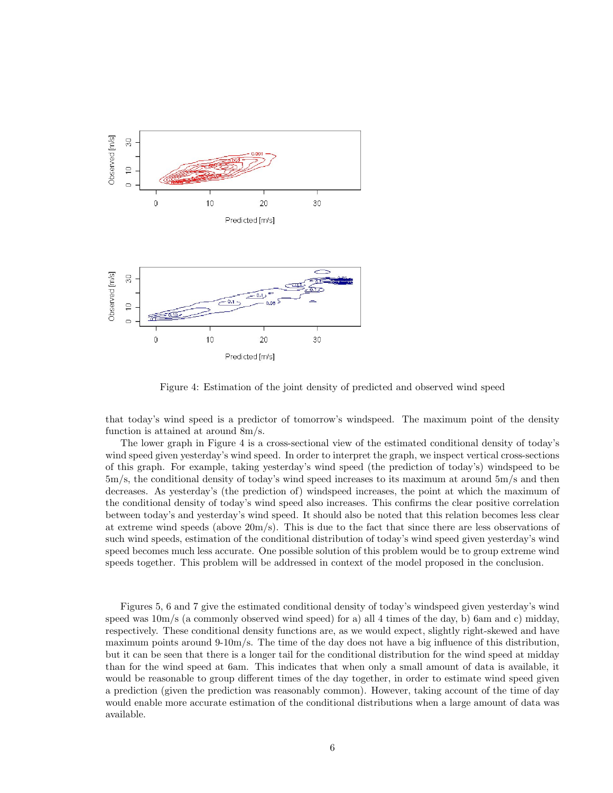

Figure 4: Estimation of the joint density of predicted and observed wind speed

that today's wind speed is a predictor of tomorrow's windspeed. The maximum point of the density function is attained at around 8m/s.

The lower graph in Figure 4 is a cross-sectional view of the estimated conditional density of today's wind speed given yesterday's wind speed. In order to interpret the graph, we inspect vertical cross-sections of this graph. For example, taking yesterday's wind speed (the prediction of today's) windspeed to be 5m/s, the conditional density of today's wind speed increases to its maximum at around 5m/s and then decreases. As yesterday's (the prediction of) windspeed increases, the point at which the maximum of the conditional density of today's wind speed also increases. This confirms the clear positive correlation between today's and yesterday's wind speed. It should also be noted that this relation becomes less clear at extreme wind speeds (above 20m/s). This is due to the fact that since there are less observations of such wind speeds, estimation of the conditional distribution of today's wind speed given yesterday's wind speed becomes much less accurate. One possible solution of this problem would be to group extreme wind speeds together. This problem will be addressed in context of the model proposed in the conclusion.

Figures 5, 6 and 7 give the estimated conditional density of today's windspeed given yesterday's wind speed was  $10m/s$  (a commonly observed wind speed) for a) all 4 times of the day, b) 6am and c) midday, respectively. These conditional density functions are, as we would expect, slightly right-skewed and have maximum points around 9-10m/s. The time of the day does not have a big influence of this distribution, but it can be seen that there is a longer tail for the conditional distribution for the wind speed at midday than for the wind speed at 6am. This indicates that when only a small amount of data is available, it would be reasonable to group different times of the day together, in order to estimate wind speed given a prediction (given the prediction was reasonably common). However, taking account of the time of day would enable more accurate estimation of the conditional distributions when a large amount of data was available.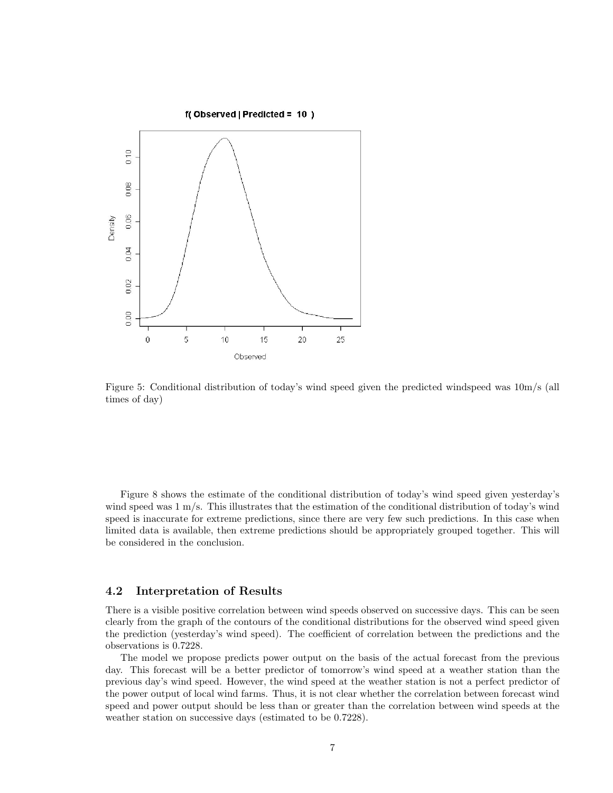

Figure 5: Conditional distribution of today's wind speed given the predicted windspeed was 10m/s (all times of day)

Figure 8 shows the estimate of the conditional distribution of today's wind speed given yesterday's wind speed was 1 m/s. This illustrates that the estimation of the conditional distribution of today's wind speed is inaccurate for extreme predictions, since there are very few such predictions. In this case when limited data is available, then extreme predictions should be appropriately grouped together. This will be considered in the conclusion.

#### 4.2 Interpretation of Results

There is a visible positive correlation between wind speeds observed on successive days. This can be seen clearly from the graph of the contours of the conditional distributions for the observed wind speed given the prediction (yesterday's wind speed). The coefficient of correlation between the predictions and the observations is 0.7228.

The model we propose predicts power output on the basis of the actual forecast from the previous day. This forecast will be a better predictor of tomorrow's wind speed at a weather station than the previous day's wind speed. However, the wind speed at the weather station is not a perfect predictor of the power output of local wind farms. Thus, it is not clear whether the correlation between forecast wind speed and power output should be less than or greater than the correlation between wind speeds at the weather station on successive days (estimated to be 0.7228).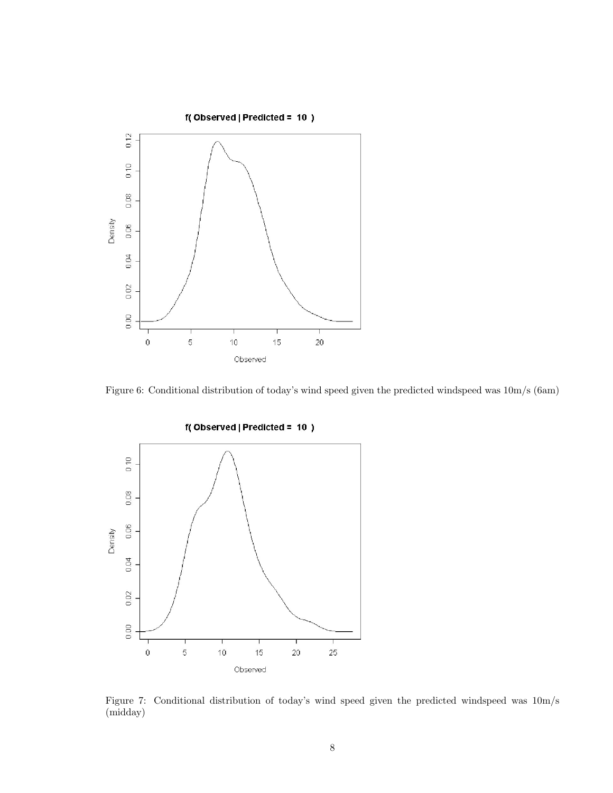

Figure 6: Conditional distribution of today's wind speed given the predicted windspeed was 10m/s (6am)



Figure 7: Conditional distribution of today's wind speed given the predicted windspeed was 10m/s (midday)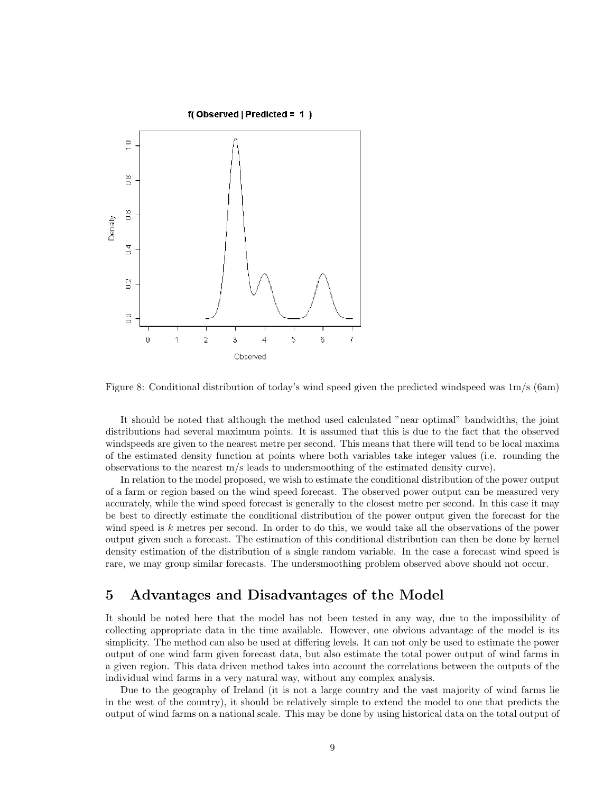

Figure 8: Conditional distribution of today's wind speed given the predicted windspeed was 1m/s (6am)

It should be noted that although the method used calculated "near optimal" bandwidths, the joint distributions had several maximum points. It is assumed that this is due to the fact that the observed windspeeds are given to the nearest metre per second. This means that there will tend to be local maxima of the estimated density function at points where both variables take integer values (i.e. rounding the observations to the nearest m/s leads to undersmoothing of the estimated density curve).

In relation to the model proposed, we wish to estimate the conditional distribution of the power output of a farm or region based on the wind speed forecast. The observed power output can be measured very accurately, while the wind speed forecast is generally to the closest metre per second. In this case it may be best to directly estimate the conditional distribution of the power output given the forecast for the wind speed is k metres per second. In order to do this, we would take all the observations of the power output given such a forecast. The estimation of this conditional distribution can then be done by kernel density estimation of the distribution of a single random variable. In the case a forecast wind speed is rare, we may group similar forecasts. The undersmoothing problem observed above should not occur.

# 5 Advantages and Disadvantages of the Model

It should be noted here that the model has not been tested in any way, due to the impossibility of collecting appropriate data in the time available. However, one obvious advantage of the model is its simplicity. The method can also be used at differing levels. It can not only be used to estimate the power output of one wind farm given forecast data, but also estimate the total power output of wind farms in a given region. This data driven method takes into account the correlations between the outputs of the individual wind farms in a very natural way, without any complex analysis.

Due to the geography of Ireland (it is not a large country and the vast majority of wind farms lie in the west of the country), it should be relatively simple to extend the model to one that predicts the output of wind farms on a national scale. This may be done by using historical data on the total output of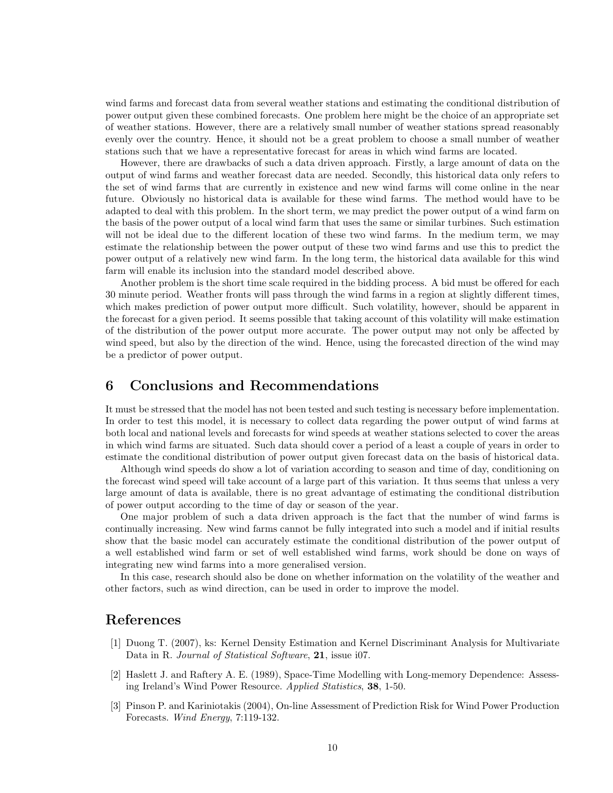wind farms and forecast data from several weather stations and estimating the conditional distribution of power output given these combined forecasts. One problem here might be the choice of an appropriate set of weather stations. However, there are a relatively small number of weather stations spread reasonably evenly over the country. Hence, it should not be a great problem to choose a small number of weather stations such that we have a representative forecast for areas in which wind farms are located.

However, there are drawbacks of such a data driven approach. Firstly, a large amount of data on the output of wind farms and weather forecast data are needed. Secondly, this historical data only refers to the set of wind farms that are currently in existence and new wind farms will come online in the near future. Obviously no historical data is available for these wind farms. The method would have to be adapted to deal with this problem. In the short term, we may predict the power output of a wind farm on the basis of the power output of a local wind farm that uses the same or similar turbines. Such estimation will not be ideal due to the different location of these two wind farms. In the medium term, we may estimate the relationship between the power output of these two wind farms and use this to predict the power output of a relatively new wind farm. In the long term, the historical data available for this wind farm will enable its inclusion into the standard model described above.

Another problem is the short time scale required in the bidding process. A bid must be offered for each 30 minute period. Weather fronts will pass through the wind farms in a region at slightly different times, which makes prediction of power output more difficult. Such volatility, however, should be apparent in the forecast for a given period. It seems possible that taking account of this volatility will make estimation of the distribution of the power output more accurate. The power output may not only be affected by wind speed, but also by the direction of the wind. Hence, using the forecasted direction of the wind may be a predictor of power output.

# 6 Conclusions and Recommendations

It must be stressed that the model has not been tested and such testing is necessary before implementation. In order to test this model, it is necessary to collect data regarding the power output of wind farms at both local and national levels and forecasts for wind speeds at weather stations selected to cover the areas in which wind farms are situated. Such data should cover a period of a least a couple of years in order to estimate the conditional distribution of power output given forecast data on the basis of historical data.

Although wind speeds do show a lot of variation according to season and time of day, conditioning on the forecast wind speed will take account of a large part of this variation. It thus seems that unless a very large amount of data is available, there is no great advantage of estimating the conditional distribution of power output according to the time of day or season of the year.

One major problem of such a data driven approach is the fact that the number of wind farms is continually increasing. New wind farms cannot be fully integrated into such a model and if initial results show that the basic model can accurately estimate the conditional distribution of the power output of a well established wind farm or set of well established wind farms, work should be done on ways of integrating new wind farms into a more generalised version.

In this case, research should also be done on whether information on the volatility of the weather and other factors, such as wind direction, can be used in order to improve the model.

# References

- [1] Duong T. (2007), ks: Kernel Density Estimation and Kernel Discriminant Analysis for Multivariate Data in R. Journal of Statistical Software, 21, issue i07.
- [2] Haslett J. and Raftery A. E. (1989), Space-Time Modelling with Long-memory Dependence: Assessing Ireland's Wind Power Resource. Applied Statistics, 38, 1-50.
- [3] Pinson P. and Kariniotakis (2004), On-line Assessment of Prediction Risk for Wind Power Production Forecasts. Wind Energy, 7:119-132.